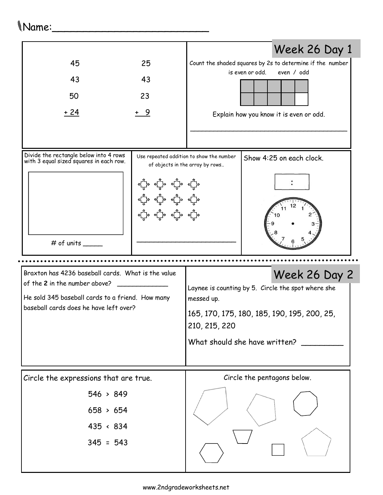## Name:\_\_\_\_\_\_\_\_\_\_\_\_\_\_\_\_\_\_\_\_\_\_\_\_\_

|                                                                                     |            |                                                                             | Week 26 Day 1                                             |  |  |
|-------------------------------------------------------------------------------------|------------|-----------------------------------------------------------------------------|-----------------------------------------------------------|--|--|
| 45                                                                                  | 25         |                                                                             | Count the shaded squares by 2s to determine if the number |  |  |
| 43                                                                                  | 43         |                                                                             | is even or odd.<br>even / odd                             |  |  |
| 50                                                                                  | 23         |                                                                             |                                                           |  |  |
| <u>+ 24</u>                                                                         | <u>+ 9</u> |                                                                             | Explain how you know it is even or odd.                   |  |  |
|                                                                                     |            |                                                                             |                                                           |  |  |
|                                                                                     |            |                                                                             |                                                           |  |  |
| Divide the rectangle below into 4 rows<br>with 3 equal sized squares in each row.   |            | Use repeated addition to show the number<br>of objects in the array by rows | Show 4:25 on each clock.                                  |  |  |
|                                                                                     |            |                                                                             |                                                           |  |  |
|                                                                                     |            |                                                                             |                                                           |  |  |
|                                                                                     |            |                                                                             |                                                           |  |  |
|                                                                                     |            |                                                                             |                                                           |  |  |
| # of units                                                                          |            |                                                                             |                                                           |  |  |
|                                                                                     |            |                                                                             |                                                           |  |  |
| Braxton has 4236 baseball cards. What is the value<br>of the 2 in the number above? |            |                                                                             | Week 26 Day 2                                             |  |  |
| He sold 345 baseball cards to a friend. How many                                    |            | Laynee is counting by 5. Circle the spot where she<br>messed up.            |                                                           |  |  |
| baseball cards does he have left over?                                              |            | 165, 170, 175, 180, 185, 190, 195, 200, 25,                                 |                                                           |  |  |
|                                                                                     |            | 210, 215, 220                                                               |                                                           |  |  |
|                                                                                     |            | What should she have written?                                               |                                                           |  |  |
|                                                                                     |            |                                                                             |                                                           |  |  |
| Circle the expressions that are true.                                               |            | Circle the pentagons below.                                                 |                                                           |  |  |
| 546 > 849                                                                           |            |                                                                             |                                                           |  |  |
| 658 > 654                                                                           |            |                                                                             |                                                           |  |  |
| $435 \div 834$                                                                      |            |                                                                             |                                                           |  |  |
| $345 = 543$                                                                         |            |                                                                             |                                                           |  |  |
|                                                                                     |            |                                                                             |                                                           |  |  |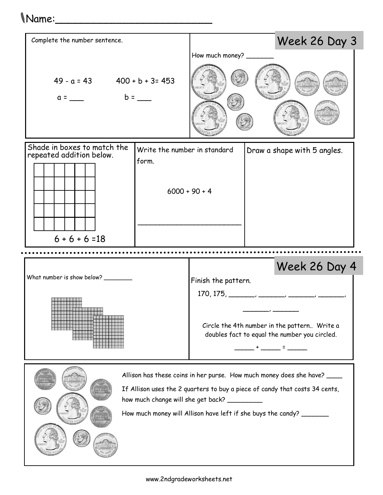